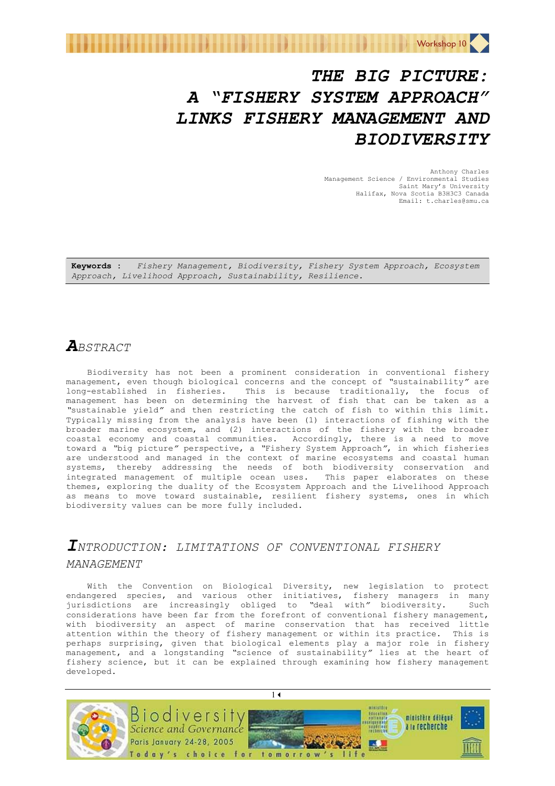

# *THE BIG PICTURE: A "FISHERY SYSTEM APPROACH" LINKS FISHERY MANAGEMENT AND BIODIVERSITY*

Anthony Charles Management Science / Environmental Studies Saint Mary's University Halifax, Nova Scotia B3H3C3 Canada Email: t.charles@smu.ca

**Keywords :** *Fishery Management, Biodiversity, Fishery System Approach, Ecosystem Approach, Livelihood Approach, Sustainability, Resilience.* 

## *ABSTRACT*

Biodiversity has not been a prominent consideration in conventional fishery management, even though biological concerns and the concept of *"*sustainability*"* are long-established in fisheries. This is because traditionally, the focus of management has been on determining the harvest of fish that can be taken as a *"*sustainable yield*"* and then restricting the catch of fish to within this limit. Typically missing from the analysis have been (1) interactions of fishing with the broader marine ecosystem, and (2) interactions of the fishery with the broader coastal economy and coastal communities. Accordingly, there is a need to move toward a *"*big picture*"* perspective, a *"*Fishery System Approach*"*, in which fisheries are understood and managed in the context of marine ecosystems and coastal human systems, thereby addressing the needs of both biodiversity conservation and integrated management of multiple ocean uses. This paper elaborates on these themes, exploring the duality of the Ecosystem Approach and the Livelihood Approach as means to move toward sustainable, resilient fishery systems, ones in which biodiversity values can be more fully included.

# *INTRODUCTION: LIMITATIONS OF CONVENTIONAL FISHERY MANAGEMENT*

With the Convention on Biological Diversity, new legislation to protect endangered species, and various other initiatives, fishery managers in many jurisdictions are increasingly obliged to *"*deal with*"* biodiversity. Such considerations have been far from the forefront of conventional fishery management, with biodiversity an aspect of marine conservation that has received little attention within the theory of fishery management or within its practice. This is perhaps surprising, given that biological elements play a major role in fishery management, and a longstanding *"*science of sustainability*"* lies at the heart of fishery science, but it can be explained through examining how fishery management developed.

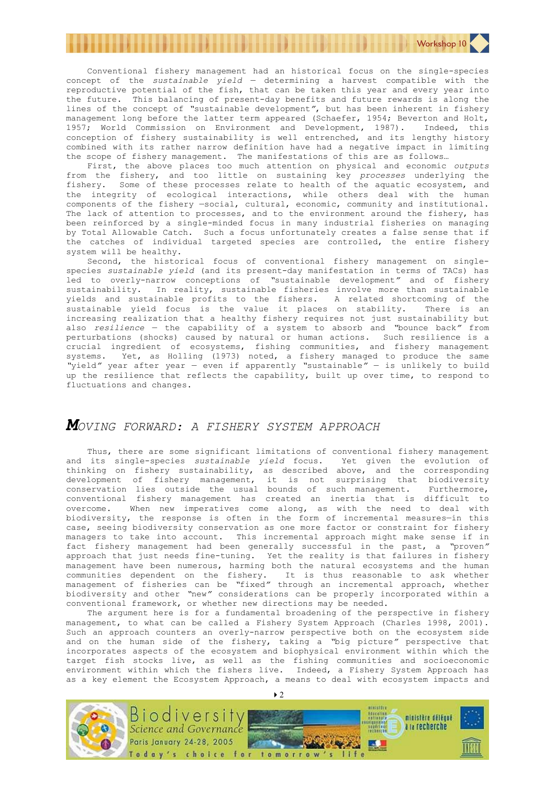Conventional fishery management had an historical focus on the single-species concept of the *sustainable yield* — determining a harvest compatible with the reproductive potential of the fish, that can be taken this year and every year into the future. This balancing of present-day benefits and future rewards is along the lines of the concept of *"*sustainable development*"*, but has been inherent in fishery management long before the latter term appeared (Schaefer, 1954; Beverton and Holt, 1957; World Commission on Environment and Development, 1987). Indeed, this conception of fishery sustainability is well entrenched, and its lengthy history combined with its rather narrow definition have had a negative impact in limiting the scope of fishery management. The manifestations of this are as follows…

First, the above places too much attention on physical and economic *outputs* from the fishery, and too little on sustaining key *processes* underlying the fishery. Some of these processes relate to health of the aquatic ecosystem, and the integrity of ecological interactions, while others deal with the human components of the fishery —social, cultural, economic, community and institutional. The lack of attention to processes, and to the environment around the fishery, has been reinforced by a single-minded focus in many industrial fisheries on managing by Total Allowable Catch. Such a focus unfortunately creates a false sense that if the catches of individual targeted species are controlled, the entire fishery system will be healthy.

Second, the historical focus of conventional fishery management on singlespecies *sustainable yield* (and its present-day manifestation in terms of TACs) has led to overly-narrow conceptions of *"*sustainable development*"* and of fishery sustainability. In reality, sustainable fisheries involve more than sustainable yields and sustainable profits to the fishers. A related shortcoming of the sustainable yield focus is the value it places on stability. There is an increasing realization that a healthy fishery requires not just sustainability but also *resilience* — the capability of a system to absorb and *"*bounce back*"* from perturbations (shocks) caused by natural or human actions. Such resilience is a crucial ingredient of ecosystems, fishing communities, and fishery management systems. Yet, as Holling (1973) noted, a fishery managed to produce the same *"*yield*"* year after year — even if apparently *"*sustainable*"* — is unlikely to build up the resilience that reflects the capability, built up over time, to respond to fluctuations and changes.

#### *MOVING FORWARD: A FISHERY SYSTEM APPROACH*

Thus, there are some significant limitations of conventional fishery management and its single-species *sustainable yield* focus. Yet given the evolution of thinking on fishery sustainability, as described above, and the corresponding development of fishery management, it is not surprising that biodiversity conservation lies outside the usual bounds of such management. Furthermore, conventional fishery management has created an inertia that is difficult to overcome. When new imperatives come along, as with the need to deal with biodiversity, the response is often in the form of incremental measures—in this case, seeing biodiversity conservation as one more factor or constraint for fishery managers to take into account. This incremental approach might make sense if in fact fishery management had been generally successful in the past, a *"*proven*"* approach that just needs fine-tuning. Yet the reality is that failures in fishery management have been numerous, harming both the natural ecosystems and the human communities dependent on the fishery. It is thus reasonable to ask whether management of fisheries can be *"*fixed*"* through an incremental approach, whether biodiversity and other *"*new*"* considerations can be properly incorporated within a conventional framework, or whether new directions may be needed.

The argument here is for a fundamental broadening of the perspective in fishery management, to what can be called a Fishery System Approach (Charles 1998, 2001). Such an approach counters an overly-narrow perspective both on the ecosystem side and on the human side of the fishery, taking a *"*big picture*"* perspective that incorporates aspects of the ecosystem and biophysical environment within which the target fish stocks live, as well as the fishing communities and socioeconomic environment within which the fishers live. Indeed, a Fishery System Approach has as a key element the Ecosystem Approach, a means to deal with ecosystem impacts and



 $\rightarrow$  2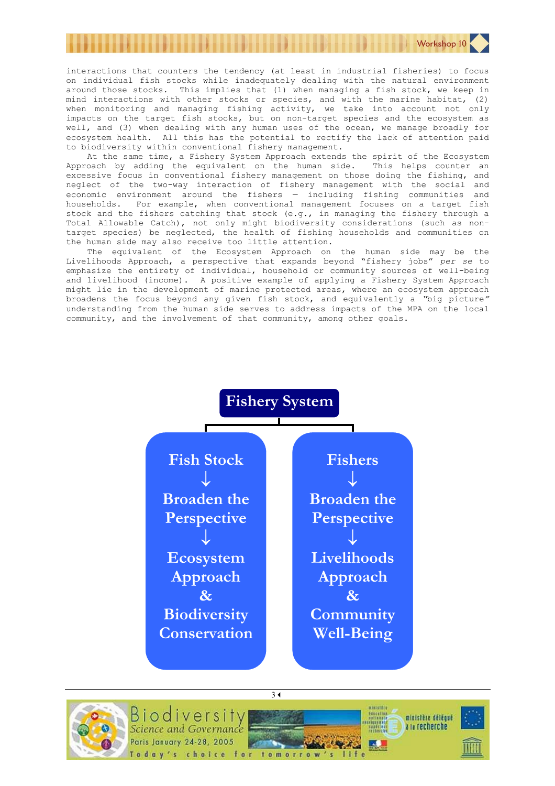interactions that counters the tendency (at least in industrial fisheries) to focus on individual fish stocks while inadequately dealing with the natural environment around those stocks. This implies that (1) when managing a fish stock, we keep in mind interactions with other stocks or species, and with the marine habitat, (2) when monitoring and managing fishing activity, we take into account not only impacts on the target fish stocks, but on non-target species and the ecosystem as well, and (3) when dealing with any human uses of the ocean, we manage broadly for ecosystem health. All this has the potential to rectify the lack of attention paid to biodiversity within conventional fishery management.

Workshop 10

At the same time, a Fishery System Approach extends the spirit of the Ecosystem Approach by adding the equivalent on the human side. This helps counter an excessive focus in conventional fishery management on those doing the fishing, and neglect of the two-way interaction of fishery management with the social and economic environment around the fishers — including fishing communities and households. For example, when conventional management focuses on a target fish stock and the fishers catching that stock (e.g., in managing the fishery through a Total Allowable Catch), not only might biodiversity considerations (such as nontarget species) be neglected, the health of fishing households and communities on the human side may also receive too little attention.

The equivalent of the Ecosystem Approach on the human side may be the Livelihoods Approach, a perspective that expands beyond "fishery jobs" *per se* to emphasize the entirety of individual, household or community sources of well-being and livelihood (income). A positive example of applying a Fishery System Approach might lie in the development of marine protected areas, where an ecosystem approach broadens the focus beyond any given fish stock, and equivalently a *"*big picture*"* understanding from the human side serves to address impacts of the MPA on the local community, and the involvement of that community, among other goals.



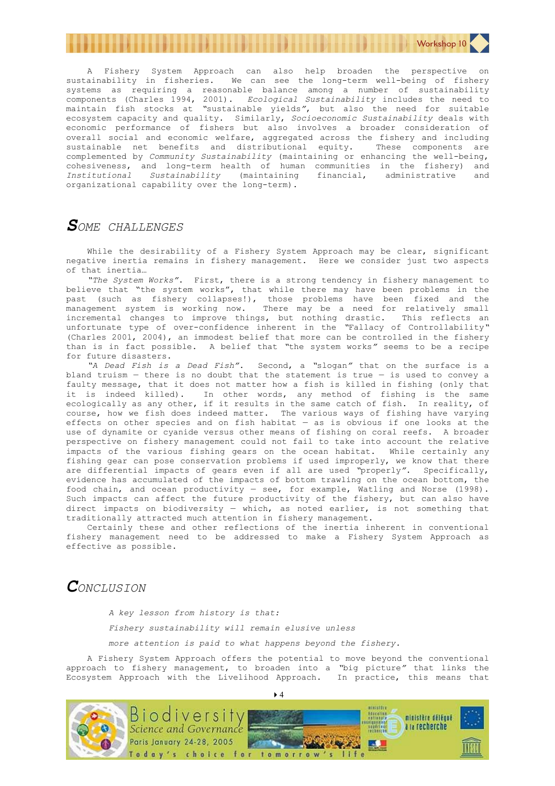

A Fishery System Approach can also help broaden the perspective on sustainability in fisheries. We can see the long-term well-being of fishery systems as requiring a reasonable balance among a number of sustainability components (Charles 1994, 2001). *Ecological Sustainability* includes the need to maintain fish stocks at *"*sustainable yields*"*, but also the need for suitable ecosystem capacity and quality. Similarly, *Socioeconomic Sustainability* deals with economic performance of fishers but also involves a broader consideration of overall social and economic welfare, aggregated across the fishery and including sustainable net benefits and distributional equity. These components are complemented by *Community Sustainability* (maintaining or enhancing the well-being, cohesiveness, and long-term health of human communities in the fishery) and *Institutional Sustainability* (maintaining financial, administrative organizational capability over the long-term).

#### *SOME CHALLENGES*

While the desirability of a Fishery System Approach may be clear, significant negative inertia remains in fishery management. Here we consider just two aspects of that inertia…

*"The System Works"*. First, there is a strong tendency in fishery management to believe that "the system works", that while there may have been problems in the past (such as fishery collapses!), those problems have been fixed and the management system is working now. There may be a need for relatively small incremental changes to improve things, but nothing drastic. This reflects an unfortunate type of over-confidence inherent in the *"*Fallacy of Controllability*"* (Charles 2001, 2004), an immodest belief that more can be controlled in the fishery than is in fact possible. A belief that *"*the system works*"* seems to be a recipe for future disasters.

*"A Dead Fish is a Dead Fish"*. Second, a *"*slogan*"* that on the surface is a bland truism  $-$  there is no doubt that the statement is true  $-$  is used to convey a faulty message, that it does not matter how a fish is killed in fishing (only that it is indeed killed). In other words, any method of fishing is the same ecologically as any other, if it results in the same catch of fish. In reality, of course, how we fish does indeed matter. The various ways of fishing have varying effects on other species and on fish habitat — as is obvious if one looks at the use of dynamite or cyanide versus other means of fishing on coral reefs. A broader perspective on fishery management could not fail to take into account the relative impacts of the various fishing gears on the ocean habitat. While certainly any fishing gear can pose conservation problems if used improperly, we know that there are differential impacts of gears even if all are used *"*properly*"*. Specifically, evidence has accumulated of the impacts of bottom trawling on the ocean bottom, the food chain, and ocean productivity — see, for example, Watling and Norse (1998). Such impacts can affect the future productivity of the fishery, but can also have direct impacts on biodiversity — which, as noted earlier, is not something that traditionally attracted much attention in fishery management.

Certainly these and other reflections of the inertia inherent in conventional fishery management need to be addressed to make a Fishery System Approach as effective as possible.

## $\mathcal{C}_{ONCLUSION}$

*A key lesson from history is that:* 

*Fishery sustainability will remain elusive unless* 

*more attention is paid to what happens beyond the fishery.* 

A Fishery System Approach offers the potential to move beyond the conventional approach to fishery management, to broaden into a *"*big picture*"* that links the Ecosystem Approach with the Livelihood Approach. In practice, this means that



 $\blacktriangleright$  4